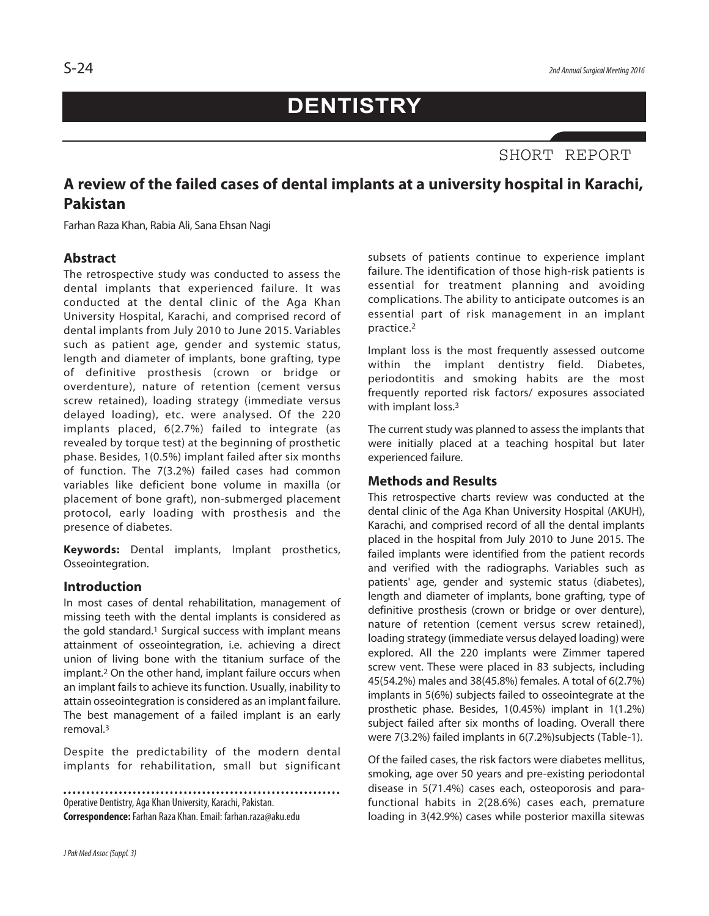# **DENTISTRY**

## SHORT REPORT

### **A review of the failed cases of dental implants at a university hospital in Karachi, Pakistan**

Farhan Raza Khan, Rabia Ali, Sana Ehsan Nagi

#### **Abstract**

The retrospective study was conducted to assess the dental implants that experienced failure. It was conducted at the dental clinic of the Aga Khan University Hospital, Karachi, and comprised record of dental implants from July 2010 to June 2015. Variables such as patient age, gender and systemic status, length and diameter of implants, bone grafting, type of definitive prosthesis (crown or bridge or overdenture), nature of retention (cement versus screw retained), loading strategy (immediate versus delayed loading), etc. were analysed. Of the 220 implants placed, 6(2.7%) failed to integrate (as revealed by torque test) at the beginning of prosthetic phase. Besides, 1(0.5%) implant failed after six months of function. The 7(3.2%) failed cases had common variables like deficient bone volume in maxilla (or placement of bone graft), non-submerged placement protocol, early loading with prosthesis and the presence of diabetes.

**Keywords:** Dental implants, Implant prosthetics, Osseointegration.

#### **Introduction**

In most cases of dental rehabilitation, management of missing teeth with the dental implants is considered as the gold standard. <sup>1</sup> Surgical success with implant means attainment of osseointegration, i.e. achieving a direct union of living bone with the titanium surface of the implant. <sup>2</sup> On the other hand, implant failure occurs when an implant fails to achieve its function. Usually, inability to attain osseointegration is considered as an implant failure. The best management of a failed implant is an early removal. 3

Despite the predictability of the modern dental implants for rehabilitation, small but significant

Operative Dentistry, Aga Khan University, Karachi, Pakistan. **Correspondence:**Farhan Raza Khan.Email: farhan.raza@aku.edu subsets of patients continue to experience implant failure. The identification of those high-risk patients is essential for treatment planning and avoiding complications. The ability to anticipate outcomes is an essential part of risk management in an implant practice.2

Implant loss is the most frequently assessed outcome within the implant dentistry field. Diabetes, periodontitis and smoking habits are the most frequently reported risk factors/ exposures associated with implant loss. 3

The current study was planned to assess the implants that were initially placed at a teaching hospital but later experienced failure.

#### **Methods and Results**

This retrospective charts review was conducted at the dental clinic of the Aga Khan University Hospital (AKUH), Karachi, and comprised record of all the dental implants placed in the hospital from July 2010 to June 2015. The failed implants were identified from the patient records and verified with the radiographs. Variables such as patients' age, gender and systemic status (diabetes), length and diameter of implants, bone grafting, type of definitive prosthesis (crown or bridge or over denture), nature of retention (cement versus screw retained), loading strategy (immediate versus delayed loading) were explored. All the 220 implants were Zimmer tapered screw vent. These were placed in 83 subjects, including 45(54.2%) males and 38(45.8%) females. A total of 6(2.7%) implants in 5(6%) subjects failed to osseointegrate at the prosthetic phase. Besides, 1(0.45%) implant in 1(1.2%) subject failed after six months of loading. Overall there were 7(3.2%) failed implants in 6(7.2%)subjects (Table-1).

Of the failed cases, the risk factors were diabetes mellitus, smoking, age over 50 years and pre-existing periodontal disease in 5(71.4%) cases each, osteoporosis and parafunctional habits in 2(28.6%) cases each, premature loading in 3(42.9%) cases while posterior maxilla sitewas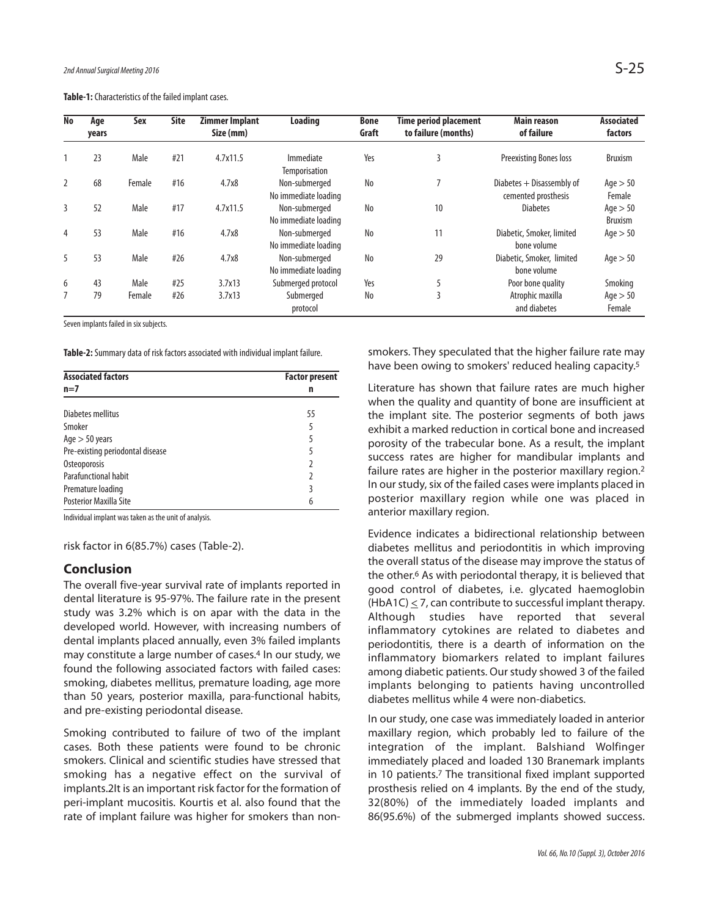Table-1: Characteristics of the failed implant cases.

| <b>No</b>      | Age   | Sex    | <b>Site</b> | <b>Zimmer Implant</b> | Loading                               | <b>Bone</b> | <b>Time period placement</b> | <b>Main reason</b>                                 | <b>Associated</b>            |
|----------------|-------|--------|-------------|-----------------------|---------------------------------------|-------------|------------------------------|----------------------------------------------------|------------------------------|
|                | years |        |             | Size (mm)             |                                       | Graft       | to failure (months)          | of failure                                         | factors                      |
|                | 23    | Male   | #21         | 4.7x11.5              | Immediate<br>Temporisation            | Yes         | 3                            | <b>Preexisting Bones loss</b>                      | <b>Bruxism</b>               |
|                | 68    | Female | #16         | 4.7x8                 | Non-submerged<br>No immediate loading | No          | 7                            | Diabetes $+$ Disassembly of<br>cemented prosthesis | Age > 50<br>Female           |
| 3              | 52    | Male   | #17         | 4.7x11.5              | Non-submerged<br>No immediate loading | No          | 10                           | <b>Diabetes</b>                                    | Age $> 50$<br><b>Bruxism</b> |
| $\overline{4}$ | 53    | Male   | #16         | 4.7x8                 | Non-submerged<br>No immediate loading | No          | 11                           | Diabetic, Smoker, limited<br>bone volume           | Age $> 50$                   |
| 5              | 53    | Male   | #26         | 4.7x8                 | Non-submerged<br>No immediate loading | No          | 29                           | Diabetic, Smoker, limited<br>bone volume           | Age $> 50$                   |
| 6              | 43    | Male   | #25         | 3.7x13                | Submerged protocol                    | Yes         | 5                            | Poor bone quality                                  | Smoking                      |
|                | 79    | Female | #26         | 3.7x13                | Submerged<br>protocol                 | No          | 3                            | Atrophic maxilla<br>and diabetes                   | Age > 50<br>Female           |

Seven implants failed in six subjects.

Table-2: Summary data of risk factors associated with individual implant failure.

| <b>Associated factors</b>        | <b>Factor present</b> |  |  |
|----------------------------------|-----------------------|--|--|
| $n=7$                            | n                     |  |  |
| Diabetes mellitus                | 55                    |  |  |
| Smoker                           | 5                     |  |  |
| Age $>$ 50 years                 | 5                     |  |  |
| Pre-existing periodontal disease | 5                     |  |  |
| Osteoporosis                     | $\mathfrak z$         |  |  |
| Parafunctional habit             | $\mathfrak z$         |  |  |
| Premature loading                | 3                     |  |  |
| Posterior Maxilla Site           | 6                     |  |  |

Individual implant was taken as the unit of analysis.

risk factor in 6(85.7%) cases (Table-2).

#### **Conclusion**

The overall five-year survival rate of implants reported in dental literature is 95-97%. The failure rate in the present study was 3.2% which is on apar with the data in the developed world. However, with increasing numbers of dental implants placed annually, even 3% failed implants may constitute a large number of cases. <sup>4</sup> In our study, we found the following associated factors with failed cases: smoking, diabetes mellitus, premature loading, age more than 50 years, posterior maxilla, para-functional habits, and pre-existing periodontal disease.

Smoking contributed to failure of two of the implant cases. Both these patients were found to be chronic smokers. Clinical and scientific studies have stressed that smoking has a negative effect on the survival of implants.2It is an important risk factor for the formation of peri-implant mucositis. Kourtis et al. also found that the rate of implant failure was higher for smokers than nonsmokers. They speculated that the higher failure rate may have been owing to smokers' reduced healing capacity. 5

Literature has shown that failure rates are much higher when the quality and quantity of bone are insufficient at the implant site. The posterior segments of both jaws exhibit a marked reduction in cortical bone and increased porosity of the trabecular bone. As a result, the implant success rates are higher for mandibular implants and failure rates are higher in the posterior maxillary region.<sup>2</sup> In our study, six of the failed cases were implants placed in posterior maxillary region while one was placed in anterior maxillary region.

Evidence indicates a bidirectional relationship between diabetes mellitus and periodontitis in which improving the overall status of the disease may improve the status of the other. <sup>6</sup> As with periodontal therapy, it is believed that good control of diabetes, i.e. glycated haemoglobin (HbA1C)  $\leq$  7, can contribute to successful implant therapy. Although studies have reported that several inflammatory cytokines are related to diabetes and periodontitis, there is a dearth of information on the inflammatory biomarkers related to implant failures among diabetic patients. Our study showed 3 of the failed implants belonging to patients having uncontrolled diabetes mellitus while 4 were non-diabetics.

In our study, one case was immediately loaded in anterior maxillary region, which probably led to failure of the integration of the implant. Balshiand Wolfinger immediately placed and loaded 130 Branemark implants in 10 patients. <sup>7</sup> The transitional fixed implant supported prosthesis relied on 4 implants. By the end of the study, 32(80%) of the immediately loaded implants and 86(95.6%) of the submerged implants showed success.